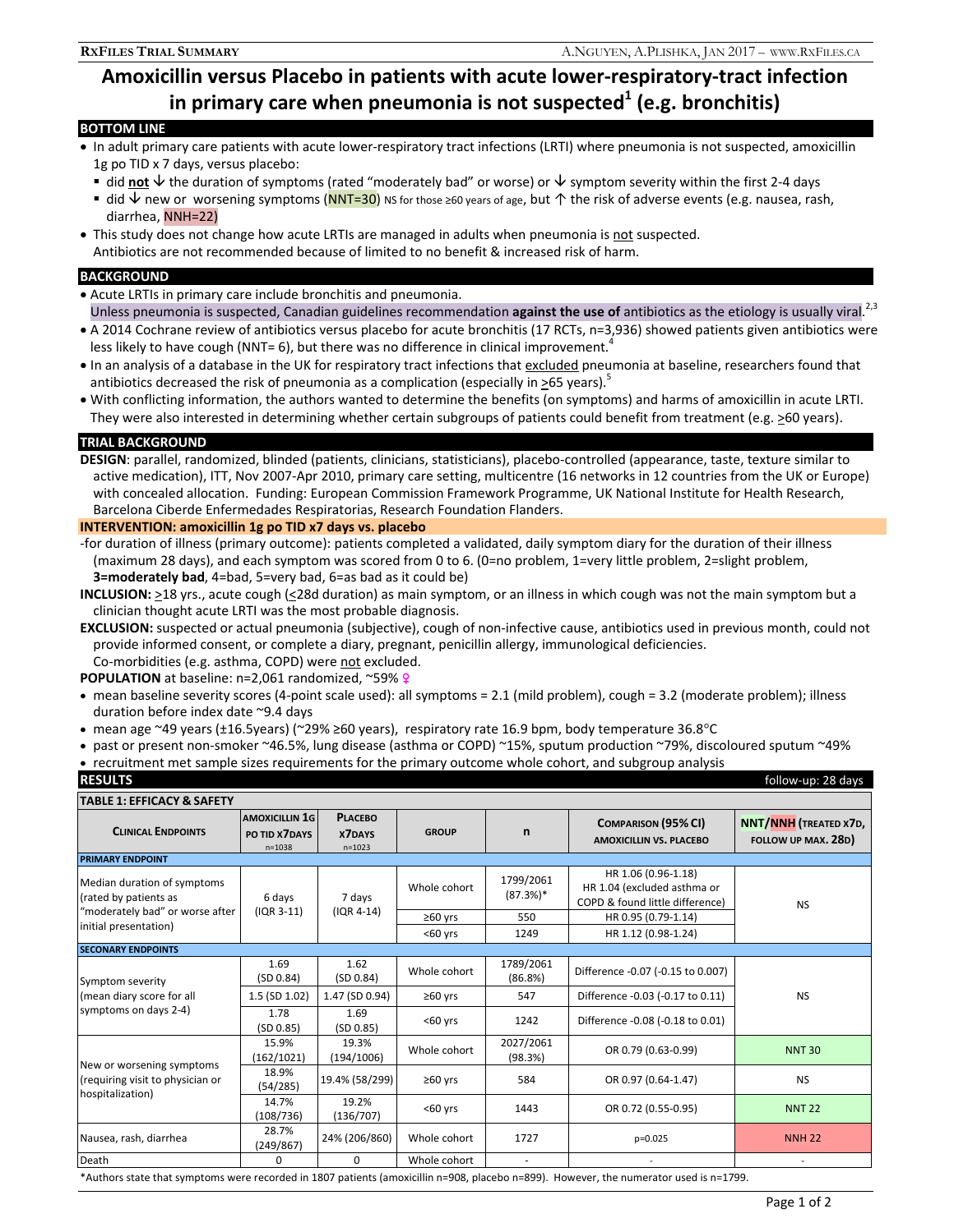# **Amoxicillin versus Placebo in patients with acute lower-respiratory-tract infection**  in primary care when pneumonia is not suspected<sup>1</sup> (e.g. bronchitis)

## **BOTTOM LINE**

- In adult primary care patients with acute lower-respiratory tract infections (LRTI) where pneumonia is not suspected, amoxicillin 1g po TID x 7 days, versus placebo:
	- $\bullet$  did not  $\downarrow$  the duration of symptoms (rated "moderately bad" or worse) or  $\downarrow$  symptom severity within the first 2-4 days
- did  $\vee$  new or worsening symptoms (NNT=30) NS for those ≥60 years of age, but 个 the risk of adverse events (e.g. nausea, rash, diarrhea, NNH=22)
- This study does not change how acute LRTIs are managed in adults when pneumonia is not suspected. Antibiotics are not recommended because of limited to no benefit & increased risk of harm.

#### **BACKGROUND**

- Acute LRTIs in primary care include bronchitis and pneumonia. Unless pneumonia is suspected, Canadian guidelines recommendation **against the use of** antibiotics as the etiology is usually viral.<sup>2,3</sup>
- A 2014 Cochrane review of antibiotics versus placebo for acute bronchitis (17 RCTs, n=3,936) showed patients given antibiotics were less likely to have cough (NNT= 6), but there was no difference in clinical improvement.<sup>4</sup>
- In an analysis of a database in the UK for respiratory tract infections that excluded pneumonia at baseline, researchers found that antibiotics decreased the risk of pneumonia as a complication (especially in  $>65$  years).<sup>5</sup>
- With conflicting information, the authors wanted to determine the benefits (on symptoms) and harms of amoxicillin in acute LRTI. They were also interested in determining whether certain subgroups of patients could benefit from treatment (e.g. >60 years).

### **TRIAL BACKGROUND**

**DESIGN**: parallel, randomized, blinded (patients, clinicians, statisticians), placebo-controlled (appearance, taste, texture similar to active medication), ITT, Nov 2007-Apr 2010, primary care setting, multicentre (16 networks in 12 countries from the UK or Europe) with concealed allocation. Funding: European Commission Framework Programme, UK National Institute for Health Research, Barcelona Ciberde Enfermedades Respiratorias, Research Foundation Flanders.

#### **INTERVENTION: amoxicillin 1g po TID x7 days vs. placebo**

-for duration of illness (primary outcome): patients completed a validated, daily symptom diary for the duration of their illness (maximum 28 days), and each symptom was scored from 0 to 6. (0=no problem, 1=very little problem, 2=slight problem, **3=moderately bad**, 4=bad, 5=very bad, 6=as bad as it could be)

- **INCLUSION:** >18 yrs., acute cough (<28d duration) as main symptom, or an illness in which cough was not the main symptom but a clinician thought acute LRTI was the most probable diagnosis.
- **EXCLUSION:** suspected or actual pneumonia (subjective), cough of non-infective cause, antibiotics used in previous month, could not provide informed consent, or complete a diary, pregnant, penicillin allergy, immunological deficiencies. Co-morbidities (e.g. asthma, COPD) were not excluded.

**POPULATION** at baseline: n=2,061 randomized, ~59% ?

- mean baseline severity scores (4-point scale used): all symptoms = 2.1 (mild problem), cough = 3.2 (moderate problem); illness duration before index date ~9.4 days
- mean age ~49 years (±16.5years) (~29% ≥60 years), respiratory rate 16.9 bpm, body temperature 36.8°C
- past or present non-smoker ~46.5%, lung disease (asthma or COPD) ~15%, sputum production ~79%, discoloured sputum ~49%
- recruitment met sample sizes requirements for the primary outcome whole cohort, and subgroup analysis

| <b>RESULTS</b>                                                                                                   |                                                      |                                               |              |                         |                                                                                       | follow-up: 28 days                                  |
|------------------------------------------------------------------------------------------------------------------|------------------------------------------------------|-----------------------------------------------|--------------|-------------------------|---------------------------------------------------------------------------------------|-----------------------------------------------------|
| <b>TABLE 1: EFFICACY &amp; SAFETY</b>                                                                            |                                                      |                                               |              |                         |                                                                                       |                                                     |
| <b>CLINICAL ENDPOINTS</b>                                                                                        | <b>AMOXICILLIN 1G</b><br>PO TID X7DAYS<br>$n = 1038$ | <b>PLACEBO</b><br><b>X7DAYS</b><br>$n = 1023$ | <b>GROUP</b> | n                       | <b>COMPARISON (95% CI)</b><br><b>AMOXICILLIN VS. PLACEBO</b>                          | <b>NNT/NNH</b> (TREATED X7D,<br>FOLLOW UP MAX. 28D) |
| <b>PRIMARY ENDPOINT</b>                                                                                          |                                                      |                                               |              |                         |                                                                                       |                                                     |
| Median duration of symptoms<br>(rated by patients as<br>"moderately bad" or worse after<br>initial presentation) | 6 days<br>$(1QR 3-11)$                               | 7 days<br>$(IQR 4-14)$                        | Whole cohort | 1799/2061<br>$(87.3%)*$ | HR 1.06 (0.96-1.18)<br>HR 1.04 (excluded asthma or<br>COPD & found little difference) | <b>NS</b>                                           |
|                                                                                                                  |                                                      |                                               | $≥60$ yrs    | 550                     | HR 0.95 (0.79-1.14)                                                                   |                                                     |
|                                                                                                                  |                                                      |                                               | $60$ yrs     | 1249                    | HR 1.12 (0.98-1.24)                                                                   |                                                     |
| <b>SECONARY ENDPOINTS</b>                                                                                        |                                                      |                                               |              |                         |                                                                                       |                                                     |
| Symptom severity<br>(mean diary score for all<br>symptoms on days 2-4)                                           | 1.69<br>(SD 0.84)                                    | 1.62<br>(SD 0.84)                             | Whole cohort | 1789/2061<br>(86.8%)    | Difference -0.07 (-0.15 to 0.007)                                                     | <b>NS</b>                                           |
|                                                                                                                  | 1.5 (SD 1.02)                                        | 1.47 (SD 0.94)                                | $≥60$ yrs    | 547                     | Difference -0.03 (-0.17 to 0.11)                                                      |                                                     |
|                                                                                                                  | 1.78<br>(SD 0.85)                                    | 1.69<br>(SD 0.85)                             | $60$ yrs     | 1242                    | Difference -0.08 (-0.18 to 0.01)                                                      |                                                     |
| New or worsening symptoms<br>(requiring visit to physician or<br>hospitalization)                                | 15.9%<br>(162/1021)                                  | 19.3%<br>(194/1006)                           | Whole cohort | 2027/2061<br>(98.3%)    | OR 0.79 (0.63-0.99)                                                                   | <b>NNT 30</b>                                       |
|                                                                                                                  | 18.9%<br>(54/285)                                    | 19.4% (58/299)                                | $≥60$ yrs    | 584                     | OR 0.97 (0.64-1.47)                                                                   | <b>NS</b>                                           |
|                                                                                                                  | 14.7%<br>(108/736)                                   | 19.2%<br>(136/707)                            | $60$ vrs     | 1443                    | OR 0.72 (0.55-0.95)                                                                   | <b>NNT 22</b>                                       |
| Nausea, rash, diarrhea                                                                                           | 28.7%<br>(249/867)                                   | 24% (206/860)                                 | Whole cohort | 1727                    | $p=0.025$                                                                             | <b>NNH 22</b>                                       |
| Death                                                                                                            | $\Omega$                                             | $\Omega$                                      | Whole cohort |                         |                                                                                       |                                                     |